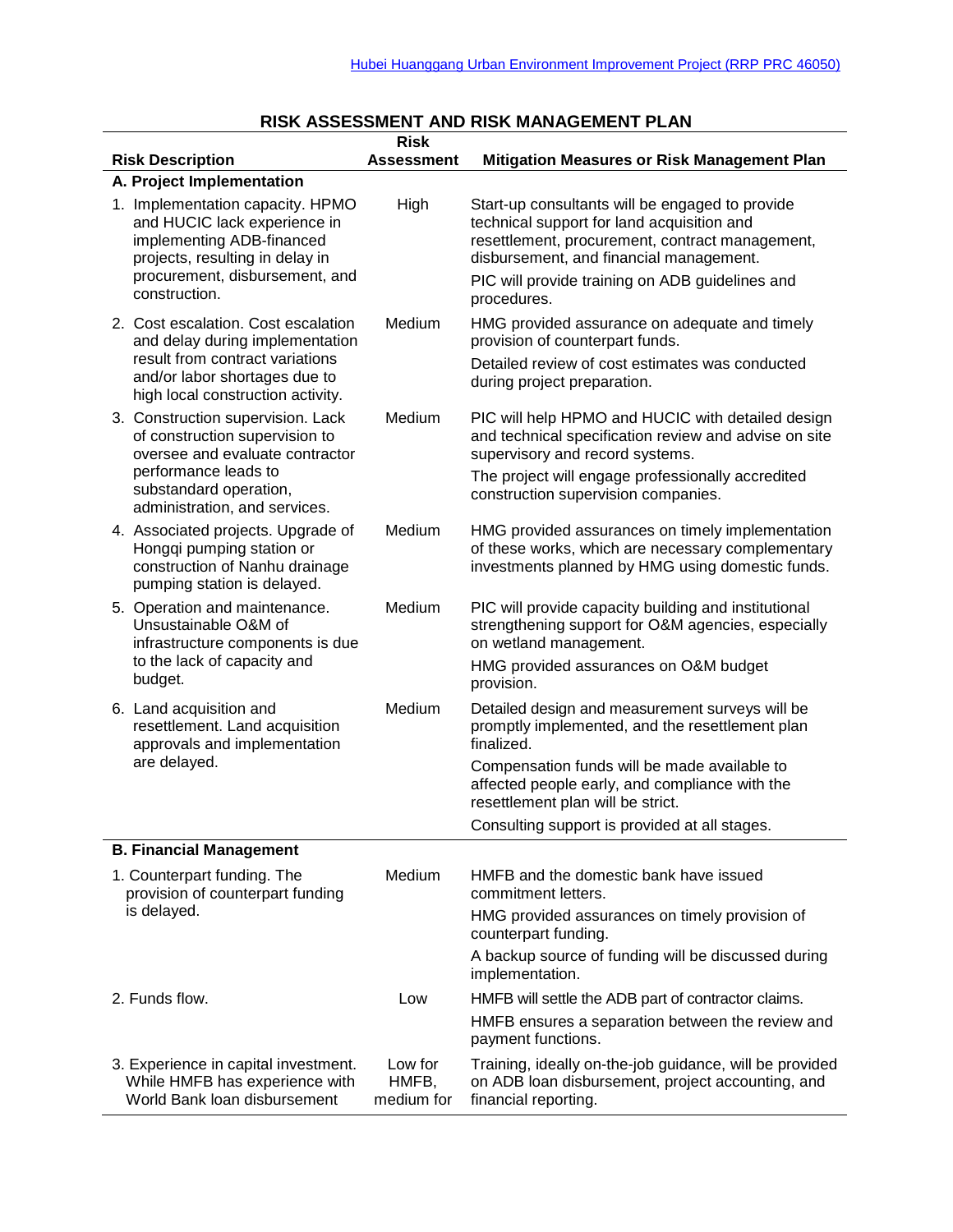| NON AUULUUMLINI AND NON MANAULIMLINI I LA<br><b>Risk</b>                                                                                                                            |                                |                                                                                                                                                                                                                                                               |  |  |
|-------------------------------------------------------------------------------------------------------------------------------------------------------------------------------------|--------------------------------|---------------------------------------------------------------------------------------------------------------------------------------------------------------------------------------------------------------------------------------------------------------|--|--|
| <b>Risk Description</b>                                                                                                                                                             | <b>Assessment</b>              | <b>Mitigation Measures or Risk Management Plan</b>                                                                                                                                                                                                            |  |  |
| A. Project Implementation                                                                                                                                                           |                                |                                                                                                                                                                                                                                                               |  |  |
| 1. Implementation capacity. HPMO<br>and HUCIC lack experience in<br>implementing ADB-financed<br>projects, resulting in delay in<br>procurement, disbursement, and<br>construction. | High                           | Start-up consultants will be engaged to provide<br>technical support for land acquisition and<br>resettlement, procurement, contract management,<br>disbursement, and financial management.<br>PIC will provide training on ADB guidelines and<br>procedures. |  |  |
| 2. Cost escalation. Cost escalation<br>and delay during implementation<br>result from contract variations<br>and/or labor shortages due to                                          | Medium                         | HMG provided assurance on adequate and timely<br>provision of counterpart funds.<br>Detailed review of cost estimates was conducted<br>during project preparation.                                                                                            |  |  |
| high local construction activity.                                                                                                                                                   |                                |                                                                                                                                                                                                                                                               |  |  |
| 3. Construction supervision. Lack<br>of construction supervision to<br>oversee and evaluate contractor                                                                              | Medium                         | PIC will help HPMO and HUCIC with detailed design<br>and technical specification review and advise on site<br>supervisory and record systems.                                                                                                                 |  |  |
| performance leads to<br>substandard operation,<br>administration, and services.                                                                                                     |                                | The project will engage professionally accredited<br>construction supervision companies.                                                                                                                                                                      |  |  |
| 4. Associated projects. Upgrade of<br>Hongqi pumping station or<br>construction of Nanhu drainage<br>pumping station is delayed.                                                    | Medium                         | HMG provided assurances on timely implementation<br>of these works, which are necessary complementary<br>investments planned by HMG using domestic funds.                                                                                                     |  |  |
| 5. Operation and maintenance.<br>Unsustainable O&M of<br>infrastructure components is due<br>to the lack of capacity and                                                            | Medium                         | PIC will provide capacity building and institutional<br>strengthening support for O&M agencies, especially<br>on wetland management.                                                                                                                          |  |  |
| budget.                                                                                                                                                                             |                                | HMG provided assurances on O&M budget<br>provision.                                                                                                                                                                                                           |  |  |
| 6. Land acquisition and<br>resettlement. Land acquisition<br>approvals and implementation<br>are delayed.                                                                           | Medium                         | Detailed design and measurement surveys will be<br>promptly implemented, and the resettlement plan<br>finalized.                                                                                                                                              |  |  |
|                                                                                                                                                                                     |                                | Compensation funds will be made available to<br>affected people early, and compliance with the<br>resettlement plan will be strict.                                                                                                                           |  |  |
|                                                                                                                                                                                     |                                | Consulting support is provided at all stages.                                                                                                                                                                                                                 |  |  |
| <b>B. Financial Management</b>                                                                                                                                                      |                                |                                                                                                                                                                                                                                                               |  |  |
| 1. Counterpart funding. The<br>provision of counterpart funding<br>is delayed.                                                                                                      | Medium                         | HMFB and the domestic bank have issued<br>commitment letters.                                                                                                                                                                                                 |  |  |
|                                                                                                                                                                                     |                                | HMG provided assurances on timely provision of<br>counterpart funding.                                                                                                                                                                                        |  |  |
|                                                                                                                                                                                     |                                | A backup source of funding will be discussed during<br>implementation.                                                                                                                                                                                        |  |  |
| 2. Funds flow.                                                                                                                                                                      | Low                            | HMFB will settle the ADB part of contractor claims.                                                                                                                                                                                                           |  |  |
|                                                                                                                                                                                     |                                | HMFB ensures a separation between the review and<br>payment functions.                                                                                                                                                                                        |  |  |
| 3. Experience in capital investment.<br>While HMFB has experience with<br>World Bank loan disbursement                                                                              | Low for<br>HMFB,<br>medium for | Training, ideally on-the-job guidance, will be provided<br>on ADB loan disbursement, project accounting, and<br>financial reporting.                                                                                                                          |  |  |

## **RISK ASSESSMENT AND RISK MANAGEMENT PLAN**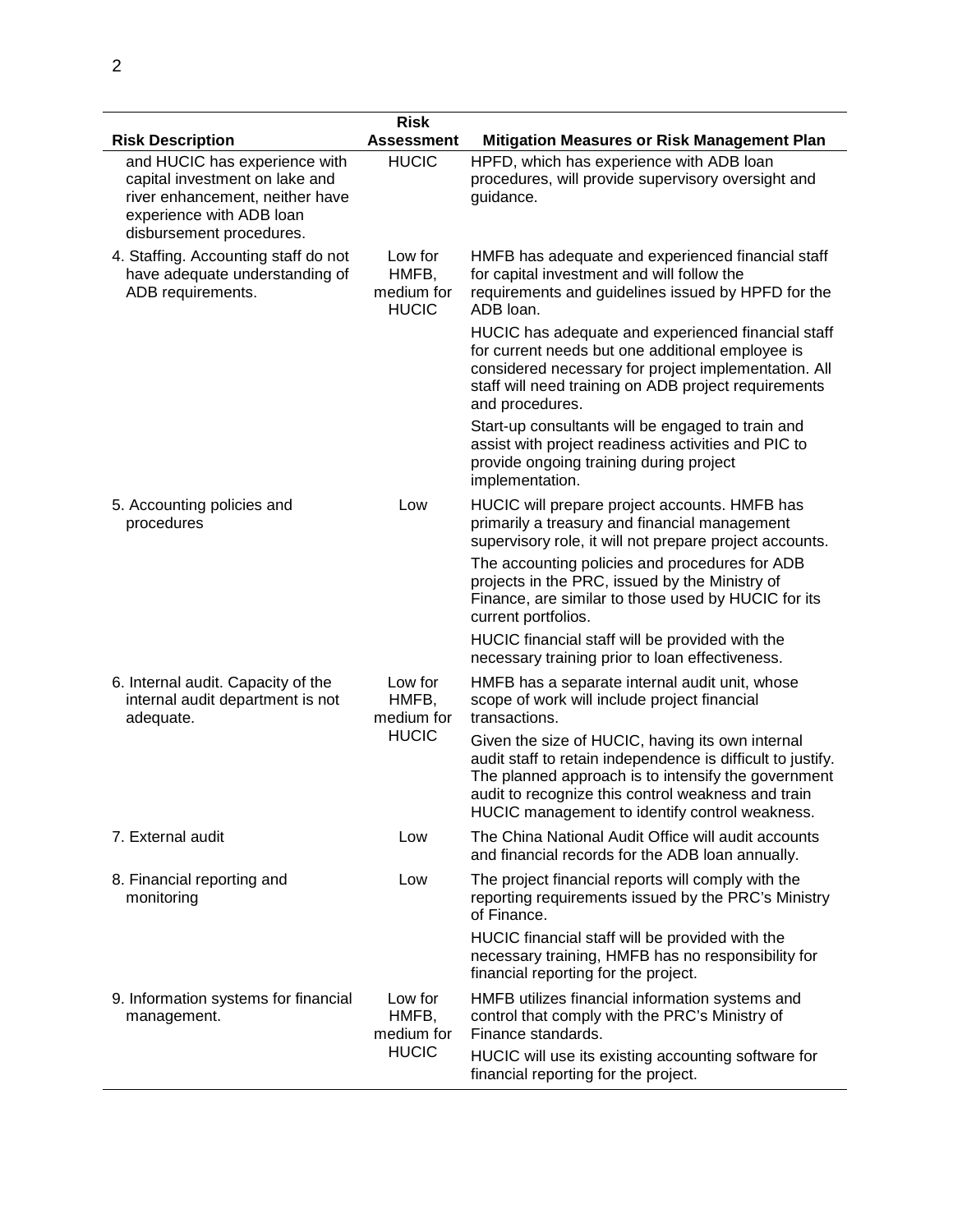|                                                                                                                                                            | <b>Risk</b>                                    |                                                                                                                                                                                                                                                                                |
|------------------------------------------------------------------------------------------------------------------------------------------------------------|------------------------------------------------|--------------------------------------------------------------------------------------------------------------------------------------------------------------------------------------------------------------------------------------------------------------------------------|
| <b>Risk Description</b>                                                                                                                                    | <b>Assessment</b>                              | <b>Mitigation Measures or Risk Management Plan</b>                                                                                                                                                                                                                             |
| and HUCIC has experience with<br>capital investment on lake and<br>river enhancement, neither have<br>experience with ADB loan<br>disbursement procedures. | <b>HUCIC</b>                                   | HPFD, which has experience with ADB loan<br>procedures, will provide supervisory oversight and<br>guidance.                                                                                                                                                                    |
| 4. Staffing. Accounting staff do not<br>have adequate understanding of<br>ADB requirements.                                                                | Low for<br>HMFB,<br>medium for<br><b>HUCIC</b> | HMFB has adequate and experienced financial staff<br>for capital investment and will follow the<br>requirements and guidelines issued by HPFD for the<br>ADB loan.                                                                                                             |
|                                                                                                                                                            |                                                | HUCIC has adequate and experienced financial staff<br>for current needs but one additional employee is<br>considered necessary for project implementation. All<br>staff will need training on ADB project requirements<br>and procedures.                                      |
|                                                                                                                                                            |                                                | Start-up consultants will be engaged to train and<br>assist with project readiness activities and PIC to<br>provide ongoing training during project<br>implementation.                                                                                                         |
| 5. Accounting policies and<br>procedures                                                                                                                   | Low                                            | HUCIC will prepare project accounts. HMFB has<br>primarily a treasury and financial management<br>supervisory role, it will not prepare project accounts.                                                                                                                      |
|                                                                                                                                                            |                                                | The accounting policies and procedures for ADB<br>projects in the PRC, issued by the Ministry of<br>Finance, are similar to those used by HUCIC for its<br>current portfolios.                                                                                                 |
|                                                                                                                                                            |                                                | HUCIC financial staff will be provided with the<br>necessary training prior to loan effectiveness.                                                                                                                                                                             |
| 6. Internal audit. Capacity of the<br>internal audit department is not<br>adequate.                                                                        | Low for<br>HMFB,<br>medium for<br><b>HUCIC</b> | HMFB has a separate internal audit unit, whose<br>scope of work will include project financial<br>transactions.                                                                                                                                                                |
|                                                                                                                                                            |                                                | Given the size of HUCIC, having its own internal<br>audit staff to retain independence is difficult to justify.<br>The planned approach is to intensify the government<br>audit to recognize this control weakness and train<br>HUCIC management to identify control weakness. |
| 7. External audit                                                                                                                                          | Low                                            | The China National Audit Office will audit accounts<br>and financial records for the ADB loan annually.                                                                                                                                                                        |
| 8. Financial reporting and<br>monitoring                                                                                                                   | Low                                            | The project financial reports will comply with the<br>reporting requirements issued by the PRC's Ministry<br>of Finance.                                                                                                                                                       |
|                                                                                                                                                            |                                                | HUCIC financial staff will be provided with the<br>necessary training, HMFB has no responsibility for<br>financial reporting for the project.                                                                                                                                  |
| 9. Information systems for financial<br>management.                                                                                                        | Low for<br>HMFB,<br>medium for<br><b>HUCIC</b> | HMFB utilizes financial information systems and<br>control that comply with the PRC's Ministry of<br>Finance standards.                                                                                                                                                        |
|                                                                                                                                                            |                                                | HUCIC will use its existing accounting software for<br>financial reporting for the project.                                                                                                                                                                                    |